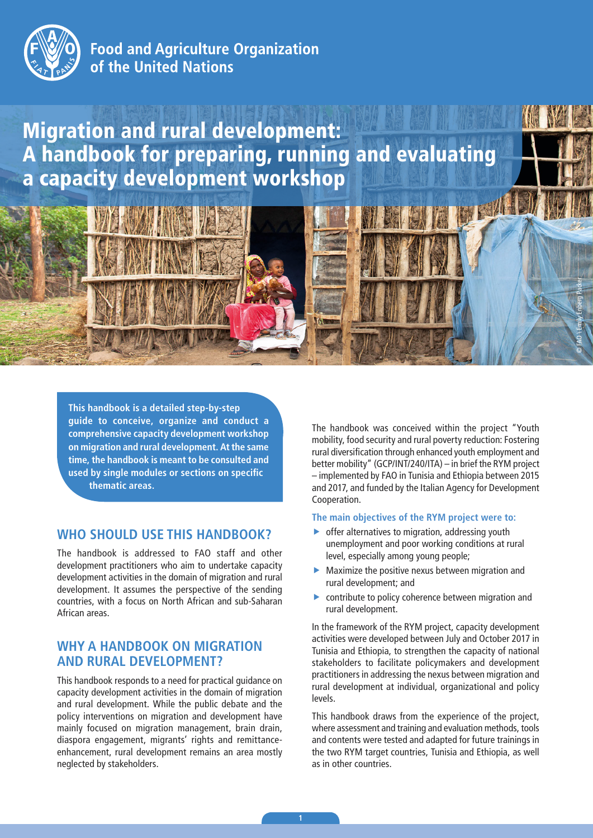

# **Food and Agriculture Organization** of the United Nations

# Migration and rural development: A handbook for preparing, running and evaluating a capacity development workshop



**This handbook is a detailed step-by-step guide to conceive, organize and conduct a comprehensive capacity development workshop on migration and rural development. At the same time, the handbook is meant to be consulted and used by single modules or sections on specific thematic areas.**

### **WHO SHOULD USE THIS HANDBOOK?**

The handbook is addressed to FAO staff and other development practitioners who aim to undertake capacity development activities in the domain of migration and rural development. It assumes the perspective of the sending countries, with a focus on North African and sub-Saharan African areas.

## **WHY A HANDBOOK ON MIGRATION AND RURAL DEVELOPMENT?**

This handbook responds to a need for practical guidance on capacity development activities in the domain of migration and rural development. While the public debate and the policy interventions on migration and development have mainly focused on migration management, brain drain, diaspora engagement, migrants' rights and remittanceenhancement, rural development remains an area mostly neglected by stakeholders.

The handbook was conceived within the project "Youth mobility, food security and rural poverty reduction: Fostering rural diversification through enhanced youth employment and better mobility" (GCP/INT/240/ITA) – in brief the RYM project – implemented by FAO in Tunisia and Ethiopia between 2015 and 2017, and funded by the Italian Agency for Development Cooperation.

#### **The main objectives of the RYM project were to:**

- $\triangleright$  offer alternatives to migration, addressing youth unemployment and poor working conditions at rural level, especially among young people;
- $\blacktriangleright$  Maximize the positive nexus between migration and rural development; and
- $\triangleright$  contribute to policy coherence between migration and rural development.

In the framework of the RYM project, capacity development activities were developed between July and October 2017 in Tunisia and Ethiopia, to strengthen the capacity of national stakeholders to facilitate policymakers and development practitioners in addressing the nexus between migration and rural development at individual, organizational and policy levels.

This handbook draws from the experience of the project, where assessment and training and evaluation methods, tools and contents were tested and adapted for future trainings in the two RYM target countries, Tunisia and Ethiopia, as well as in other countries.